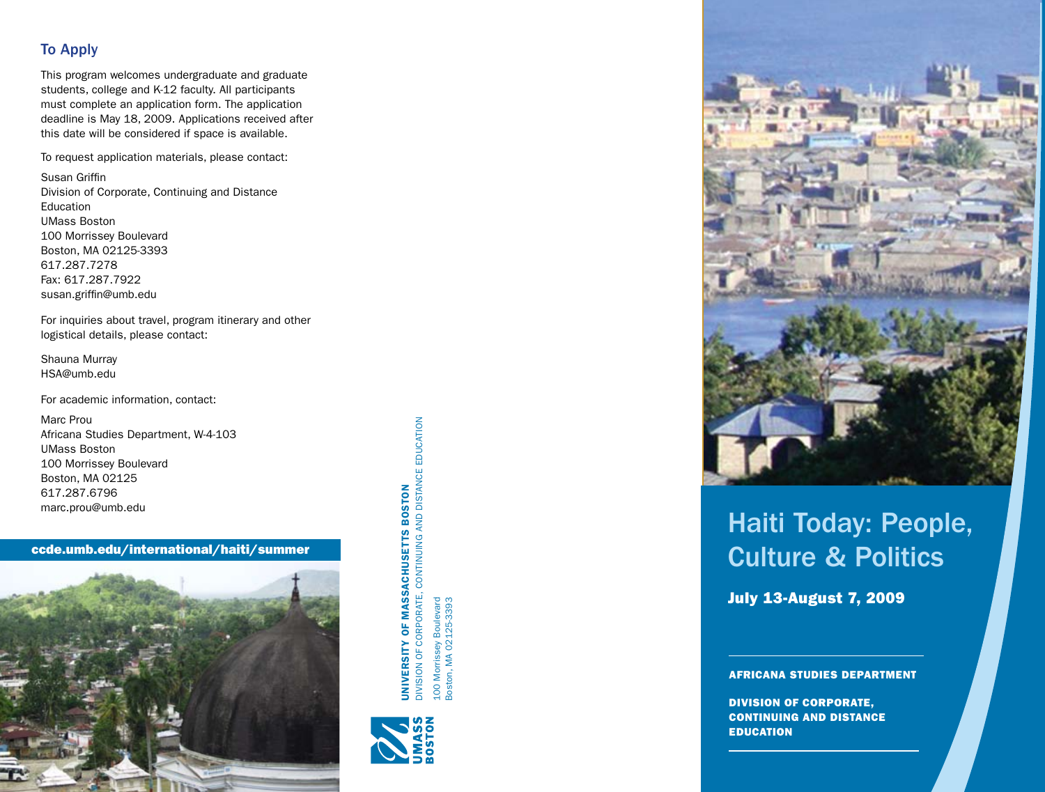### To Apply

This program welcomes undergraduate and graduate students, college and K-12 faculty. All participants must complete an application form. The application deadline is May 18, 2009. Applications received after this date will be considered if space is available.

To request application materials, please contact:

Susan Griffin Division of Corporate, Continuing and Distance Education UMass Boston 100 Morrissey Boulevard Boston, MA 02125-3393 617.287.7278 Fax: 617.287.7922 susan.griffin@umb.edu

For inquiries about travel, program itinerary and other logistical details, please contact:

Shauna Murray HSA@umb.edu

For academic information, contact:

Marc Prou Africana Studies Department, W-4-103 UMass Boston 100 Morrissey Boulevard Boston, MA 02125 617.287.6796 marc.prou@umb.edu

ccde.umb.edu/international/haiti/summer



**DIVISION OF CORPORATE, CONTINUING AND DISTANCE EDUCATION** DIVISION OF CORPORATE, CONTINUING AND DISTANCE EDUCATION **BOSTON** University of Massachusetts Boston **JNIVERSITY OF MASSACHUSETTS** 100 Morrissey Boulevard<br>Boston, MA 02125-3393 100 Morrissey Boulevard Boston, MA 02125-3393





# Haiti Today: People, Culture & Politics

July 13-August 7, 2009

AFRICANA STUDIES DEPARTMENT

DIVISION OF CORPORATE, CONTINUING AND DISTAN **EDUCATION**